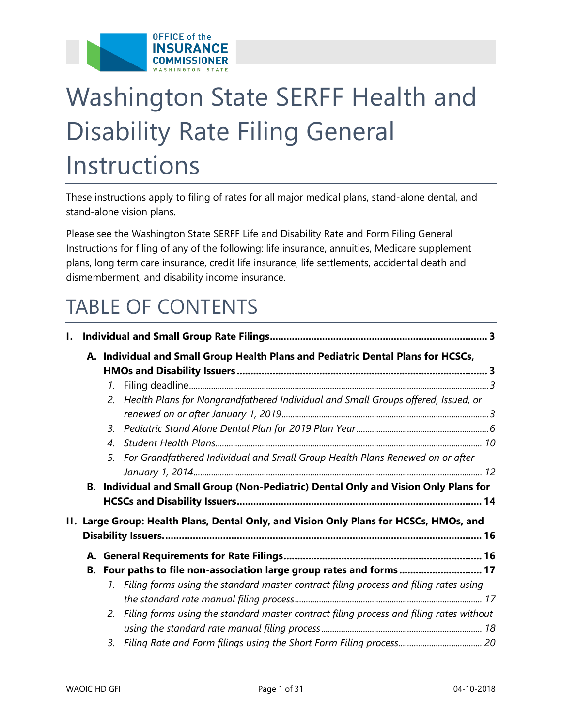

# Washington State SERFF Health and Disability Rate Filing General Instructions

These instructions apply to filing of rates for all major medical plans, stand-alone dental, and stand-alone vision plans.

Please see the Washington State SERFF Life and Disability Rate and Form Filing General Instructions for filing of any of the following: life insurance, annuities, Medicare supplement plans, long term care insurance, credit life insurance, life settlements, accidental death and dismemberment, and disability income insurance.

## TABLE OF CONTENTS

| $\mathbf{I}$ .                                                                         |  |                       |                                                                                            |  |  |  |
|----------------------------------------------------------------------------------------|--|-----------------------|--------------------------------------------------------------------------------------------|--|--|--|
| A. Individual and Small Group Health Plans and Pediatric Dental Plans for HCSCs,       |  |                       |                                                                                            |  |  |  |
|                                                                                        |  | 1.                    |                                                                                            |  |  |  |
|                                                                                        |  | $2^{+}$               | Health Plans for Nongrandfathered Individual and Small Groups offered, Issued, or          |  |  |  |
|                                                                                        |  | 3.                    |                                                                                            |  |  |  |
|                                                                                        |  | $\mathcal{A}_{\cdot}$ |                                                                                            |  |  |  |
|                                                                                        |  | 5.                    | For Grandfathered Individual and Small Group Health Plans Renewed on or after              |  |  |  |
|                                                                                        |  |                       |                                                                                            |  |  |  |
| B. Individual and Small Group (Non-Pediatric) Dental Only and Vision Only Plans for    |  |                       |                                                                                            |  |  |  |
|                                                                                        |  |                       |                                                                                            |  |  |  |
| II. Large Group: Health Plans, Dental Only, and Vision Only Plans for HCSCs, HMOs, and |  |                       |                                                                                            |  |  |  |
|                                                                                        |  |                       |                                                                                            |  |  |  |
|                                                                                        |  |                       | B. Four paths to file non-association large group rates and forms 17                       |  |  |  |
|                                                                                        |  |                       | 1. Filing forms using the standard master contract filing process and filing rates using   |  |  |  |
|                                                                                        |  |                       |                                                                                            |  |  |  |
|                                                                                        |  |                       | 2. Filing forms using the standard master contract filing process and filing rates without |  |  |  |
|                                                                                        |  |                       |                                                                                            |  |  |  |
|                                                                                        |  | 3.                    |                                                                                            |  |  |  |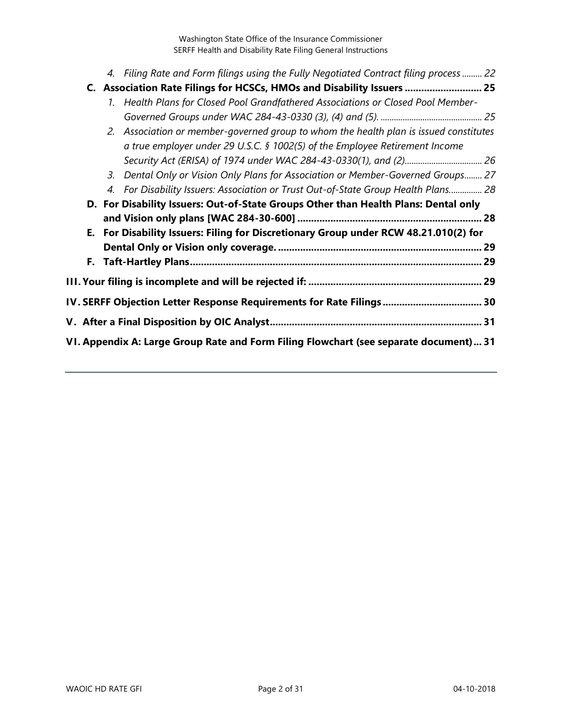|  | 4. Filing Rate and Form filings using the Fully Negotiated Contract filing process  22 |  |
|--|----------------------------------------------------------------------------------------|--|
|  | C. Association Rate Filings for HCSCs, HMOs and Disability Issuers  25                 |  |
|  | 1. Health Plans for Closed Pool Grandfathered Associations or Closed Pool Member-      |  |
|  |                                                                                        |  |
|  | 2. Association or member-governed group to whom the health plan is issued constitutes  |  |
|  | a true employer under 29 U.S.C. § 1002(5) of the Employee Retirement Income            |  |
|  |                                                                                        |  |
|  | 3. Dental Only or Vision Only Plans for Association or Member-Governed Groups 27       |  |
|  | 4. For Disability Issuers: Association or Trust Out-of-State Group Health Plans 28     |  |
|  | D. For Disability Issuers: Out-of-State Groups Other than Health Plans: Dental only    |  |
|  |                                                                                        |  |
|  | E. For Disability Issuers: Filing for Discretionary Group under RCW 48.21.010(2) for   |  |
|  |                                                                                        |  |
|  |                                                                                        |  |
|  |                                                                                        |  |
|  | IV. SERFF Objection Letter Response Requirements for Rate Filings 30                   |  |
|  |                                                                                        |  |
|  | VI. Appendix A: Large Group Rate and Form Filing Flowchart (see separate document) 31  |  |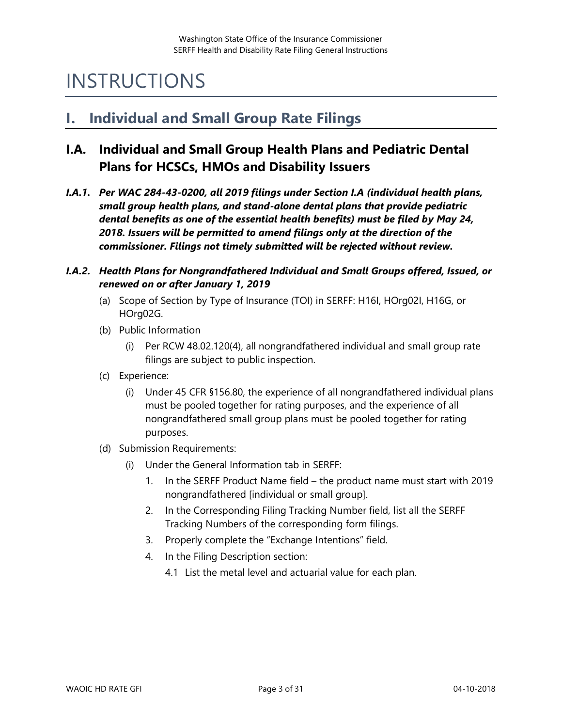## INSTRUCTIONS

## <span id="page-2-0"></span>**I. Individual and Small Group Rate Filings**

## <span id="page-2-1"></span>**I.A. Individual and Small Group Health Plans and Pediatric Dental Plans for HCSCs, HMOs and Disability Issuers**

<span id="page-2-2"></span>*I.A.1. Per WAC 284-43-0200, all 2019 filings under Section I.A (individual health plans, small group health plans, and stand-alone dental plans that provide pediatric dental benefits as one of the essential health benefits) must be filed by May 24, 2018. Issuers will be permitted to amend filings only at the direction of the commissioner. Filings not timely submitted will be rejected without review.*

#### <span id="page-2-3"></span>*I.A.2. Health Plans for Nongrandfathered Individual and Small Groups offered, Issued, or renewed on or after January 1, 2019*

- (a) Scope of Section by Type of Insurance (TOI) in SERFF: H16I, HOrg02I, H16G, or HOrg02G.
- (b) Public Information
	- (i) Per RCW 48.02.120(4), all nongrandfathered individual and small group rate filings are subject to public inspection.
- (c) Experience:
	- (i) Under 45 CFR §156.80, the experience of all nongrandfathered individual plans must be pooled together for rating purposes, and the experience of all nongrandfathered small group plans must be pooled together for rating purposes.
- (d) Submission Requirements:
	- (i) Under the General Information tab in SERFF:
		- 1. In the SERFF Product Name field the product name must start with 2019 nongrandfathered [individual or small group].
		- 2. In the Corresponding Filing Tracking Number field, list all the SERFF Tracking Numbers of the corresponding form filings.
		- 3. Properly complete the "Exchange Intentions" field.
		- 4. In the Filing Description section:
			- 4.1 List the metal level and actuarial value for each plan.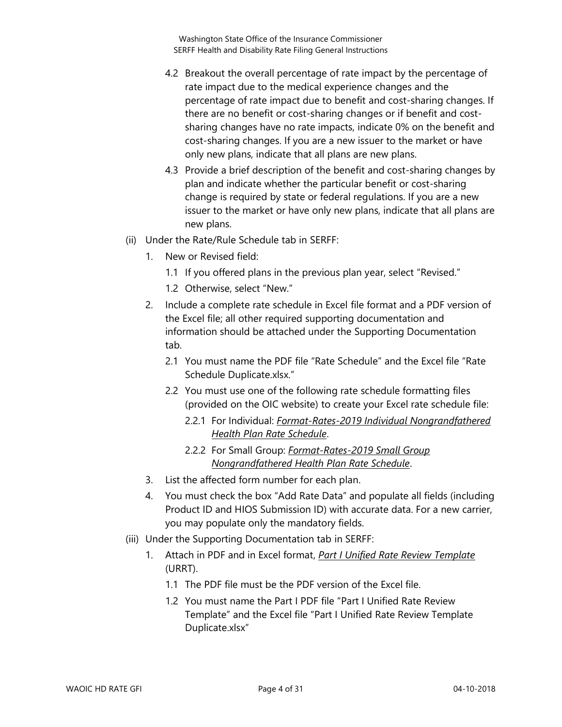- 4.2 Breakout the overall percentage of rate impact by the percentage of rate impact due to the medical experience changes and the percentage of rate impact due to benefit and cost-sharing changes. If there are no benefit or cost-sharing changes or if benefit and costsharing changes have no rate impacts, indicate 0% on the benefit and cost-sharing changes. If you are a new issuer to the market or have only new plans, indicate that all plans are new plans.
- 4.3 Provide a brief description of the benefit and cost-sharing changes by plan and indicate whether the particular benefit or cost-sharing change is required by state or federal regulations. If you are a new issuer to the market or have only new plans, indicate that all plans are new plans.
- (ii) Under the Rate/Rule Schedule tab in SERFF:
	- 1. New or Revised field:
		- 1.1 If you offered plans in the previous plan year, select "Revised."
		- 1.2 Otherwise, select "New."
	- 2. Include a complete rate schedule in Excel file format and a PDF version of the Excel file; all other required supporting documentation and information should be attached under the Supporting Documentation tab.
		- 2.1 You must name the PDF file "Rate Schedule" and the Excel file "Rate Schedule Duplicate.xlsx."
		- 2.2 You must use one of the following rate schedule formatting files (provided on the OIC website) to create your Excel rate schedule file:
			- 2.2.1 For Individual: *Format-Rates-2019 Individual Nongrandfathered Health Plan Rate Schedule*.
			- 2.2.2 For Small Group: *Format-Rates-2019 Small Group Nongrandfathered Health Plan Rate Schedule*.
	- 3. List the affected form number for each plan.
	- 4. You must check the box "Add Rate Data" and populate all fields (including Product ID and HIOS Submission ID) with accurate data. For a new carrier, you may populate only the mandatory fields.
- (iii) Under the Supporting Documentation tab in SERFF:
	- 1. Attach in PDF and in Excel format, *Part I Unified Rate Review Template* (URRT).
		- 1.1 The PDF file must be the PDF version of the Excel file.
		- 1.2 You must name the Part I PDF file "Part I Unified Rate Review Template" and the Excel file "Part I Unified Rate Review Template Duplicate.xlsx"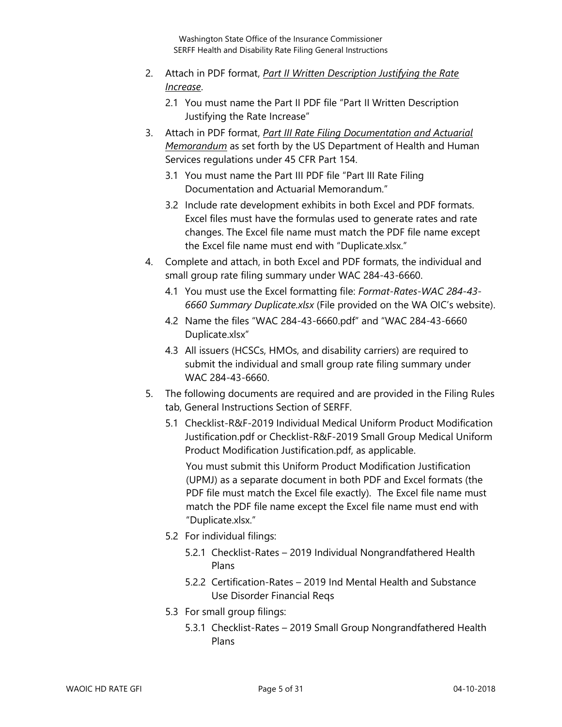- 2. Attach in PDF format, *Part II Written Description Justifying the Rate Increase*.
	- 2.1 You must name the Part II PDF file "Part II Written Description Justifying the Rate Increase"
- 3. Attach in PDF format, *Part III Rate Filing Documentation and Actuarial Memorandum* as set forth by the US Department of Health and Human Services regulations under 45 CFR Part 154.
	- 3.1 You must name the Part III PDF file "Part III Rate Filing Documentation and Actuarial Memorandum."
	- 3.2 Include rate development exhibits in both Excel and PDF formats. Excel files must have the formulas used to generate rates and rate changes. The Excel file name must match the PDF file name except the Excel file name must end with "Duplicate.xlsx."
- 4. Complete and attach, in both Excel and PDF formats, the individual and small group rate filing summary under WAC 284-43-6660.
	- 4.1 You must use the Excel formatting file: *Format-Rates-WAC 284-43- 6660 Summary Duplicate.xlsx* (File provided on the WA OIC's website).
	- 4.2 Name the files "WAC 284-43-6660.pdf" and "WAC 284-43-6660 Duplicate.xlsx"
	- 4.3 All issuers (HCSCs, HMOs, and disability carriers) are required to submit the individual and small group rate filing summary under WAC 284-43-6660.
- 5. The following documents are required and are provided in the Filing Rules tab, General Instructions Section of SERFF.
	- 5.1 Checklist-R&F-2019 Individual Medical Uniform Product Modification Justification.pdf or Checklist-R&F-2019 Small Group Medical Uniform Product Modification Justification.pdf, as applicable.

You must submit this Uniform Product Modification Justification (UPMJ) as a separate document in both PDF and Excel formats (the PDF file must match the Excel file exactly). The Excel file name must match the PDF file name except the Excel file name must end with "Duplicate.xlsx."

- 5.2 For individual filings:
	- 5.2.1 Checklist-Rates 2019 Individual Nongrandfathered Health Plans
	- 5.2.2 Certification-Rates 2019 Ind Mental Health and Substance Use Disorder Financial Reqs
- 5.3 For small group filings:
	- 5.3.1 Checklist-Rates 2019 Small Group Nongrandfathered Health Plans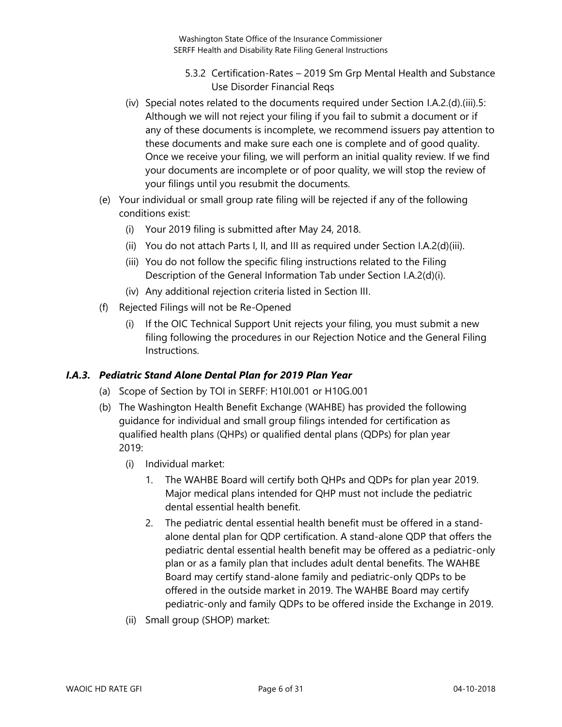- 5.3.2 Certification-Rates 2019 Sm Grp Mental Health and Substance Use Disorder Financial Reqs
- (iv) Special notes related to the documents required under Section I.A.2.(d).(iii).5: Although we will not reject your filing if you fail to submit a document or if any of these documents is incomplete, we recommend issuers pay attention to these documents and make sure each one is complete and of good quality. Once we receive your filing, we will perform an initial quality review. If we find your documents are incomplete or of poor quality, we will stop the review of your filings until you resubmit the documents.
- (e) Your individual or small group rate filing will be rejected if any of the following conditions exist:
	- (i) Your 2019 filing is submitted after May 24, 2018.
	- (ii) You do not attach Parts I, II, and III as required under Section I.A.2(d)(iii).
	- (iii) You do not follow the specific filing instructions related to the Filing Description of the General Information Tab under Section I.A.2(d)(i).
	- (iv) Any additional rejection criteria listed in Section III.
- (f) Rejected Filings will not be Re-Opened
	- (i) If the OIC Technical Support Unit rejects your filing, you must submit a new filing following the procedures in our Rejection Notice and the General Filing Instructions.

#### <span id="page-5-0"></span>*I.A.3. Pediatric Stand Alone Dental Plan for 2019 Plan Year*

- (a) Scope of Section by TOI in SERFF: H10I.001 or H10G.001
- (b) The Washington Health Benefit Exchange (WAHBE) has provided the following guidance for individual and small group filings intended for certification as qualified health plans (QHPs) or qualified dental plans (QDPs) for plan year 2019:
	- (i) Individual market:
		- 1. The WAHBE Board will certify both QHPs and QDPs for plan year 2019. Major medical plans intended for QHP must not include the pediatric dental essential health benefit.
		- 2. The pediatric dental essential health benefit must be offered in a standalone dental plan for QDP certification. A stand-alone QDP that offers the pediatric dental essential health benefit may be offered as a pediatric-only plan or as a family plan that includes adult dental benefits. The WAHBE Board may certify stand-alone family and pediatric-only QDPs to be offered in the outside market in 2019. The WAHBE Board may certify pediatric-only and family QDPs to be offered inside the Exchange in 2019.
	- (ii) Small group (SHOP) market: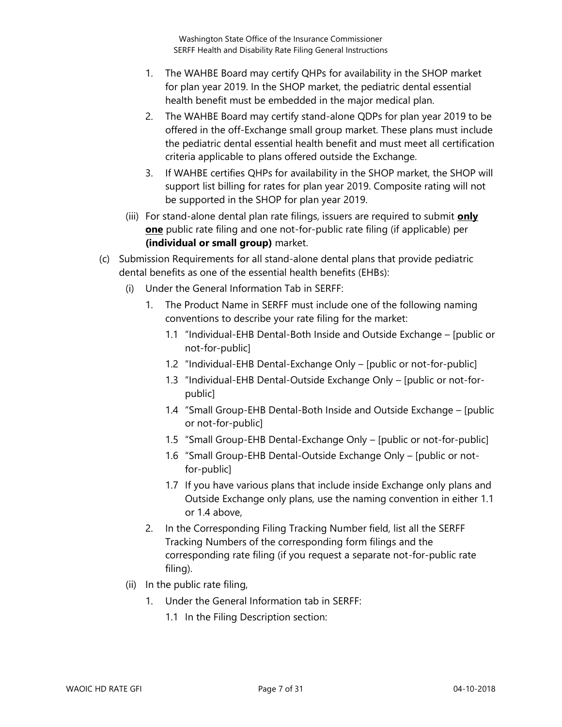- 1. The WAHBE Board may certify QHPs for availability in the SHOP market for plan year 2019. In the SHOP market, the pediatric dental essential health benefit must be embedded in the major medical plan.
- 2. The WAHBE Board may certify stand-alone QDPs for plan year 2019 to be offered in the off-Exchange small group market. These plans must include the pediatric dental essential health benefit and must meet all certification criteria applicable to plans offered outside the Exchange.
- 3. If WAHBE certifies QHPs for availability in the SHOP market, the SHOP will support list billing for rates for plan year 2019. Composite rating will not be supported in the SHOP for plan year 2019.
- (iii) For stand-alone dental plan rate filings, issuers are required to submit **only one** public rate filing and one not-for-public rate filing (if applicable) per **(individual or small group)** market.
- (c) Submission Requirements for all stand-alone dental plans that provide pediatric dental benefits as one of the essential health benefits (EHBs):
	- (i) Under the General Information Tab in SERFF:
		- 1. The Product Name in SERFF must include one of the following naming conventions to describe your rate filing for the market:
			- 1.1 "Individual-EHB Dental-Both Inside and Outside Exchange [public or not-for-public]
			- 1.2 "Individual-EHB Dental-Exchange Only [public or not-for-public]
			- 1.3 "Individual-EHB Dental-Outside Exchange Only [public or not-forpublic]
			- 1.4 "Small Group-EHB Dental-Both Inside and Outside Exchange [public or not-for-public]
			- 1.5 "Small Group-EHB Dental-Exchange Only [public or not-for-public]
			- 1.6 "Small Group-EHB Dental-Outside Exchange Only [public or notfor-public]
			- 1.7 If you have various plans that include inside Exchange only plans and Outside Exchange only plans, use the naming convention in either 1.1 or 1.4 above,
		- 2. In the Corresponding Filing Tracking Number field, list all the SERFF Tracking Numbers of the corresponding form filings and the corresponding rate filing (if you request a separate not-for-public rate filing).
	- (ii) In the public rate filing,
		- 1. Under the General Information tab in SERFF:
			- 1.1 In the Filing Description section: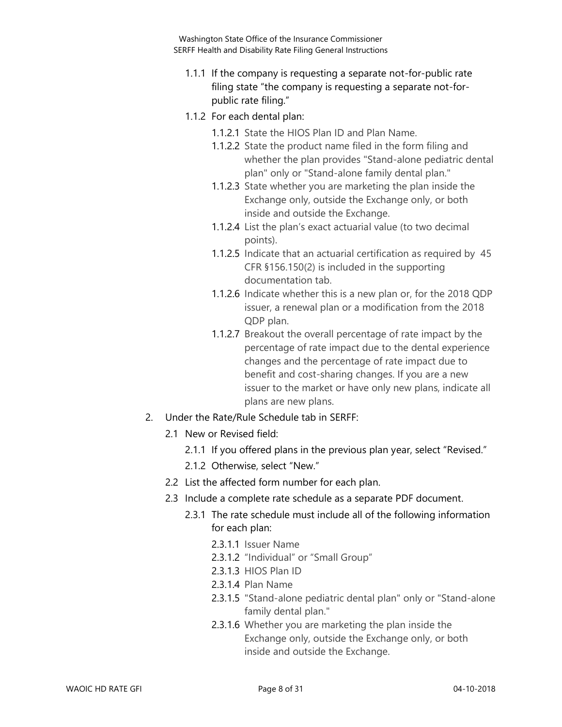- 1.1.1 If the company is requesting a separate not-for-public rate filing state "the company is requesting a separate not-forpublic rate filing."
- 1.1.2 For each dental plan:
	- 1.1.2.1 State the HIOS Plan ID and Plan Name.
	- 1.1.2.2 State the product name filed in the form filing and whether the plan provides "Stand-alone pediatric dental plan" only or "Stand-alone family dental plan."
	- 1.1.2.3 State whether you are marketing the plan inside the Exchange only, outside the Exchange only, or both inside and outside the Exchange.
	- 1.1.2.4 List the plan's exact actuarial value (to two decimal points).
	- 1.1.2.5 Indicate that an actuarial certification as required by 45 CFR §156.150(2) is included in the supporting documentation tab.
	- 1.1.2.6 Indicate whether this is a new plan or, for the 2018 QDP issuer, a renewal plan or a modification from the 2018 QDP plan.
	- 1.1.2.7 Breakout the overall percentage of rate impact by the percentage of rate impact due to the dental experience changes and the percentage of rate impact due to benefit and cost-sharing changes. If you are a new issuer to the market or have only new plans, indicate all plans are new plans.
- 2. Under the Rate/Rule Schedule tab in SERFF:
	- 2.1 New or Revised field:
		- 2.1.1 If you offered plans in the previous plan year, select "Revised."
		- 2.1.2 Otherwise, select "New."
	- 2.2 List the affected form number for each plan.
	- 2.3 Include a complete rate schedule as a separate PDF document.
		- 2.3.1 The rate schedule must include all of the following information for each plan:
			- 2.3.1.1 Issuer Name
			- 2.3.1.2 "Individual" or "Small Group"
			- 2.3.1.3 HIOS Plan ID
			- 2.3.1.4 Plan Name
			- 2.3.1.5 "Stand-alone pediatric dental plan" only or "Stand-alone family dental plan."
			- 2.3.1.6 Whether you are marketing the plan inside the Exchange only, outside the Exchange only, or both inside and outside the Exchange.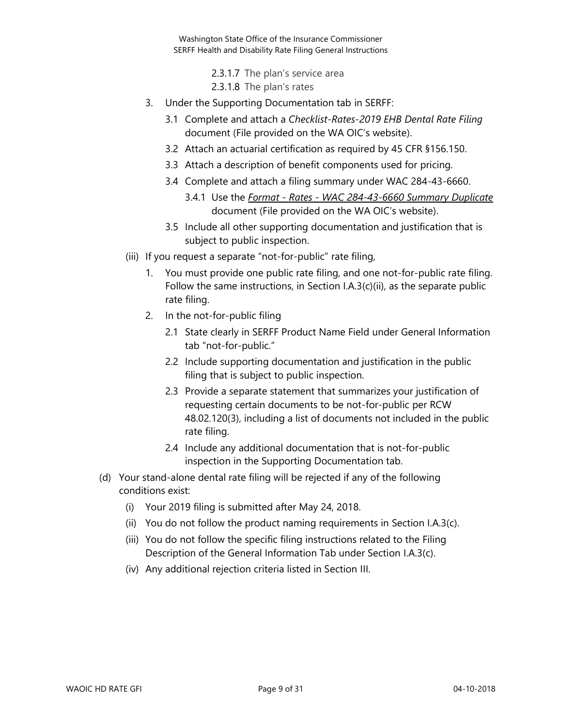> 2.3.1.7 The plan's service area 2.3.1.8 The plan's rates

- 3. Under the Supporting Documentation tab in SERFF:
	- 3.1 Complete and attach a *Checklist-Rates-2019 EHB Dental Rate Filing* document (File provided on the WA OIC's website).
	- 3.2 Attach an actuarial certification as required by 45 CFR §156.150.
	- 3.3 Attach a description of benefit components used for pricing.
	- 3.4 Complete and attach a filing summary under WAC 284-43-6660.
		- 3.4.1 Use the *Format - Rates - WAC 284-43-6660 Summary Duplicate* document (File provided on the WA OIC's website).
	- 3.5 Include all other supporting documentation and justification that is subject to public inspection.
- (iii) If you request a separate "not-for-public" rate filing,
	- 1. You must provide one public rate filing, and one not-for-public rate filing. Follow the same instructions, in Section I.A.3(c)(ii), as the separate public rate filing.
	- 2. In the not-for-public filing
		- 2.1 State clearly in SERFF Product Name Field under General Information tab "not-for-public."
		- 2.2 Include supporting documentation and justification in the public filing that is subject to public inspection.
		- 2.3 Provide a separate statement that summarizes your justification of requesting certain documents to be not-for-public per RCW 48.02.120(3), including a list of documents not included in the public rate filing.
		- 2.4 Include any additional documentation that is not-for-public inspection in the Supporting Documentation tab.
- <span id="page-8-0"></span>(d) Your stand-alone dental rate filing will be rejected if any of the following conditions exist:
	- (i) Your 2019 filing is submitted after May 24, 2018.
	- (ii) You do not follow the product naming requirements in Section I.A.3(c).
	- (iii) You do not follow the specific filing instructions related to the Filing Description of the General Information Tab under Section I.A.3(c).
	- (iv) Any additional rejection criteria listed in Section III.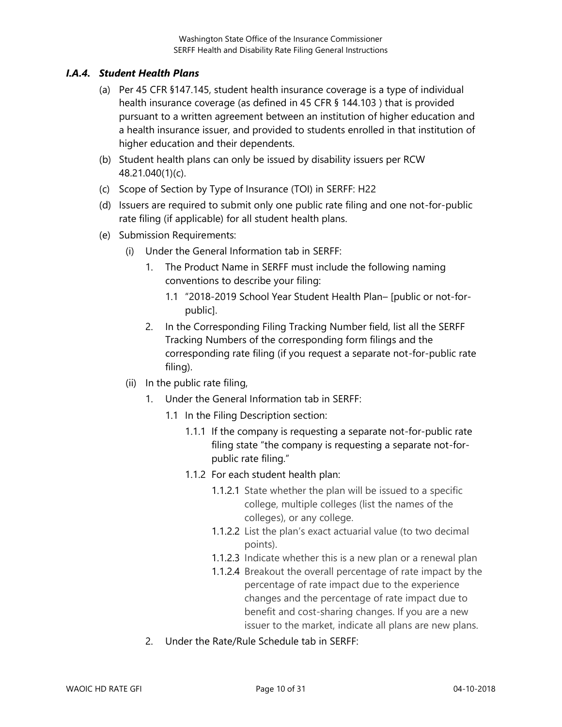#### *I.A.4. Student Health Plans*

- (a) Per 45 CFR §147.145, student health insurance coverage is a type of individual health insurance coverage (as defined in 45 CFR § 144.103 ) that is provided pursuant to a written agreement between an institution of higher education and a health insurance issuer, and provided to students enrolled in that institution of higher education and their dependents.
- (b) Student health plans can only be issued by disability issuers per RCW 48.21.040(1)(c).
- (c) Scope of Section by Type of Insurance (TOI) in SERFF: H22
- (d) Issuers are required to submit only one public rate filing and one not-for-public rate filing (if applicable) for all student health plans.
- (e) Submission Requirements:
	- (i) Under the General Information tab in SERFF:
		- 1. The Product Name in SERFF must include the following naming conventions to describe your filing:
			- 1.1 "2018-2019 School Year Student Health Plan– [public or not-forpublic].
		- 2. In the Corresponding Filing Tracking Number field, list all the SERFF Tracking Numbers of the corresponding form filings and the corresponding rate filing (if you request a separate not-for-public rate filing).
	- (ii) In the public rate filing,
		- 1. Under the General Information tab in SERFF:
			- 1.1 In the Filing Description section:
				- 1.1.1 If the company is requesting a separate not-for-public rate filing state "the company is requesting a separate not-forpublic rate filing."
				- 1.1.2 For each student health plan:
					- 1.1.2.1 State whether the plan will be issued to a specific college, multiple colleges (list the names of the colleges), or any college.
					- 1.1.2.2 List the plan's exact actuarial value (to two decimal points).
					- 1.1.2.3 Indicate whether this is a new plan or a renewal plan
					- 1.1.2.4 Breakout the overall percentage of rate impact by the percentage of rate impact due to the experience changes and the percentage of rate impact due to benefit and cost-sharing changes. If you are a new issuer to the market, indicate all plans are new plans.
		- 2. Under the Rate/Rule Schedule tab in SERFF: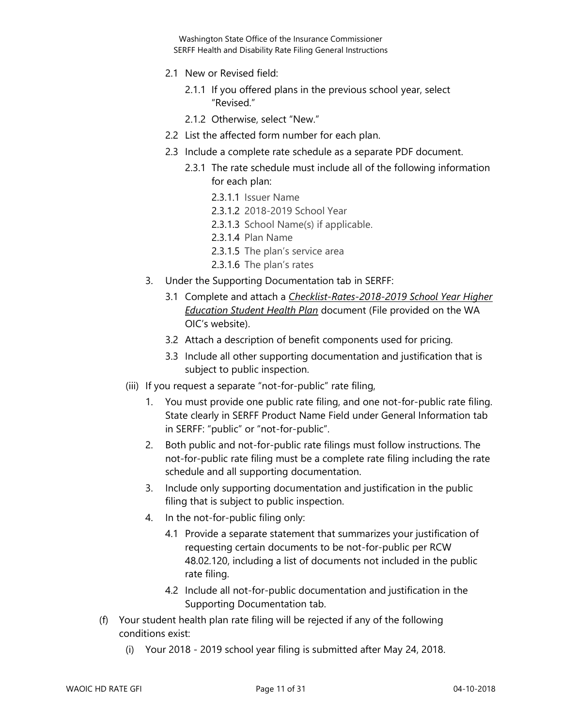- 2.1 New or Revised field:
	- 2.1.1 If you offered plans in the previous school year, select "Revised."
	- 2.1.2 Otherwise, select "New."
- 2.2 List the affected form number for each plan.
- 2.3 Include a complete rate schedule as a separate PDF document.
	- 2.3.1 The rate schedule must include all of the following information for each plan:
		- 2.3.1.1 Issuer Name
		- 2.3.1.2 2018-2019 School Year
		- 2.3.1.3 School Name(s) if applicable.
		- 2.3.1.4 Plan Name
		- 2.3.1.5 The plan's service area
		- 2.3.1.6 The plan's rates
- 3. Under the Supporting Documentation tab in SERFF:
	- 3.1 Complete and attach a *Checklist-Rates-2018-2019 School Year Higher Education Student Health Plan* document (File provided on the WA OIC's website).
	- 3.2 Attach a description of benefit components used for pricing.
	- 3.3 Include all other supporting documentation and justification that is subject to public inspection.
- (iii) If you request a separate "not-for-public" rate filing,
	- 1. You must provide one public rate filing, and one not-for-public rate filing. State clearly in SERFF Product Name Field under General Information tab in SERFF: "public" or "not-for-public".
	- 2. Both public and not-for-public rate filings must follow instructions. The not-for-public rate filing must be a complete rate filing including the rate schedule and all supporting documentation.
	- 3. Include only supporting documentation and justification in the public filing that is subject to public inspection.
	- 4. In the not-for-public filing only:
		- 4.1 Provide a separate statement that summarizes your justification of requesting certain documents to be not-for-public per RCW 48.02.120, including a list of documents not included in the public rate filing.
		- 4.2 Include all not-for-public documentation and justification in the Supporting Documentation tab.
- (f) Your student health plan rate filing will be rejected if any of the following conditions exist:
	- (i) Your 2018 2019 school year filing is submitted after May 24, 2018.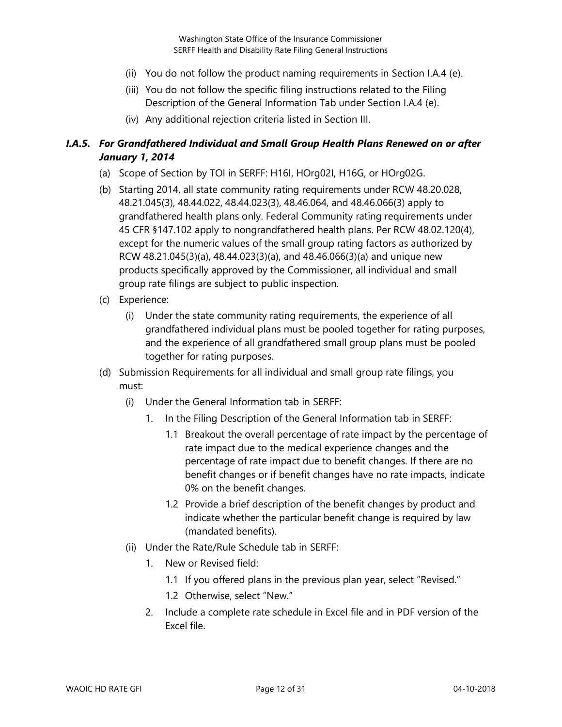- (ii) You do not follow the product naming requirements in Section I.A.4 (e).
- (iii) You do not follow the specific filing instructions related to the Filing Description of the General Information Tab under Section I.A.4 (e).
- (iv) Any additional rejection criteria listed in Section III.

#### <span id="page-11-0"></span>*I.A.5. For Grandfathered Individual and Small Group Health Plans Renewed on or after January 1, 2014*

- (a) Scope of Section by TOI in SERFF: H16I, HOrg02I, H16G, or HOrg02G.
- (b) Starting 2014, all state community rating requirements under RCW 48.20.028, 48.21.045(3), 48.44.022, 48.44.023(3), 48.46.064, and 48.46.066(3) apply to grandfathered health plans only. Federal Community rating requirements under 45 CFR §147.102 apply to nongrandfathered health plans. Per RCW 48.02.120(4), except for the numeric values of the small group rating factors as authorized by RCW 48.21.045(3)(a), 48.44.023(3)(a), and 48.46.066(3)(a) and unique new products specifically approved by the Commissioner, all individual and small group rate filings are subject to public inspection.
- (c) Experience:
	- (i) Under the state community rating requirements, the experience of all grandfathered individual plans must be pooled together for rating purposes, and the experience of all grandfathered small group plans must be pooled together for rating purposes.
- (d) Submission Requirements for all individual and small group rate filings, you must:
	- (i) Under the General Information tab in SERFF:
		- 1. In the Filing Description of the General Information tab in SERFF:
			- 1.1 Breakout the overall percentage of rate impact by the percentage of rate impact due to the medical experience changes and the percentage of rate impact due to benefit changes. If there are no benefit changes or if benefit changes have no rate impacts, indicate 0% on the benefit changes.
			- 1.2 Provide a brief description of the benefit changes by product and indicate whether the particular benefit change is required by law (mandated benefits).
	- (ii) Under the Rate/Rule Schedule tab in SERFF:
		- 1. New or Revised field:
			- 1.1 If you offered plans in the previous plan year, select "Revised."
			- 1.2 Otherwise, select "New."
		- 2. Include a complete rate schedule in Excel file and in PDF version of the Excel file.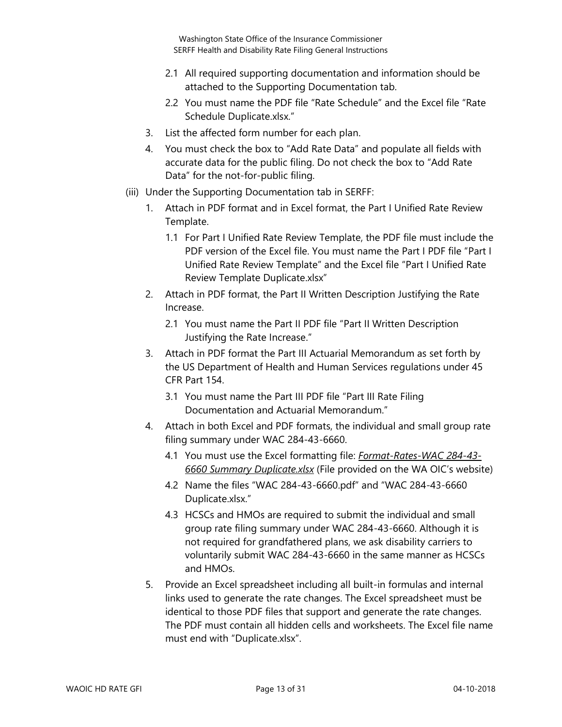- 2.1 All required supporting documentation and information should be attached to the Supporting Documentation tab.
- 2.2 You must name the PDF file "Rate Schedule" and the Excel file "Rate Schedule Duplicate.xlsx."
- 3. List the affected form number for each plan.
- 4. You must check the box to "Add Rate Data" and populate all fields with accurate data for the public filing. Do not check the box to "Add Rate Data" for the not-for-public filing.
- (iii) Under the Supporting Documentation tab in SERFF:
	- 1. Attach in PDF format and in Excel format, the Part I Unified Rate Review Template.
		- 1.1 For Part I Unified Rate Review Template, the PDF file must include the PDF version of the Excel file. You must name the Part I PDF file "Part I Unified Rate Review Template" and the Excel file "Part I Unified Rate Review Template Duplicate.xlsx"
	- 2. Attach in PDF format, the Part II Written Description Justifying the Rate Increase.
		- 2.1 You must name the Part II PDF file "Part II Written Description Justifying the Rate Increase."
	- 3. Attach in PDF format the Part III Actuarial Memorandum as set forth by the US Department of Health and Human Services regulations under 45 CFR Part 154.
		- 3.1 You must name the Part III PDF file "Part III Rate Filing Documentation and Actuarial Memorandum."
	- 4. Attach in both Excel and PDF formats, the individual and small group rate filing summary under WAC 284-43-6660.
		- 4.1 You must use the Excel formatting file: *Format-Rates-WAC 284-43- 6660 Summary Duplicate.xlsx* (File provided on the WA OIC's website)
		- 4.2 Name the files "WAC 284-43-6660.pdf" and "WAC 284-43-6660 Duplicate.xlsx."
		- 4.3 HCSCs and HMOs are required to submit the individual and small group rate filing summary under WAC 284-43-6660. Although it is not required for grandfathered plans, we ask disability carriers to voluntarily submit WAC 284-43-6660 in the same manner as HCSCs and HMOs.
	- 5. Provide an Excel spreadsheet including all built-in formulas and internal links used to generate the rate changes. The Excel spreadsheet must be identical to those PDF files that support and generate the rate changes. The PDF must contain all hidden cells and worksheets. The Excel file name must end with "Duplicate.xlsx".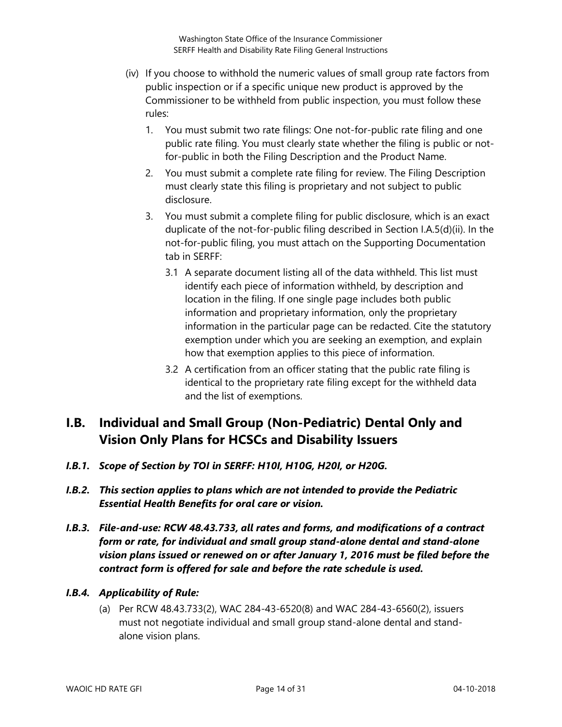- (iv) If you choose to withhold the numeric values of small group rate factors from public inspection or if a specific unique new product is approved by the Commissioner to be withheld from public inspection, you must follow these rules:
	- 1. You must submit two rate filings: One not-for-public rate filing and one public rate filing. You must clearly state whether the filing is public or notfor-public in both the Filing Description and the Product Name.
	- 2. You must submit a complete rate filing for review. The Filing Description must clearly state this filing is proprietary and not subject to public disclosure.
	- 3. You must submit a complete filing for public disclosure, which is an exact duplicate of the not-for-public filing described in Section I.A.5(d)(ii). In the not-for-public filing, you must attach on the Supporting Documentation tab in SERFF:
		- 3.1 A separate document listing all of the data withheld. This list must identify each piece of information withheld, by description and location in the filing. If one single page includes both public information and proprietary information, only the proprietary information in the particular page can be redacted. Cite the statutory exemption under which you are seeking an exemption, and explain how that exemption applies to this piece of information.
		- 3.2 A certification from an officer stating that the public rate filing is identical to the proprietary rate filing except for the withheld data and the list of exemptions.

## <span id="page-13-0"></span>**I.B. Individual and Small Group (Non-Pediatric) Dental Only and Vision Only Plans for HCSCs and Disability Issuers**

- *I.B.1. Scope of Section by TOI in SERFF: H10I, H10G, H20I, or H20G.*
- *I.B.2. This section applies to plans which are not intended to provide the Pediatric Essential Health Benefits for oral care or vision.*
- *I.B.3. File-and-use: RCW 48.43.733, all rates and forms, and modifications of a contract form or rate, for individual and small group stand-alone dental and stand-alone vision plans issued or renewed on or after January 1, 2016 must be filed before the contract form is offered for sale and before the rate schedule is used.*

#### *I.B.4. Applicability of Rule:*

(a) Per RCW 48.43.733(2), WAC 284-43-6520(8) and WAC 284-43-6560(2), issuers must not negotiate individual and small group stand-alone dental and standalone vision plans.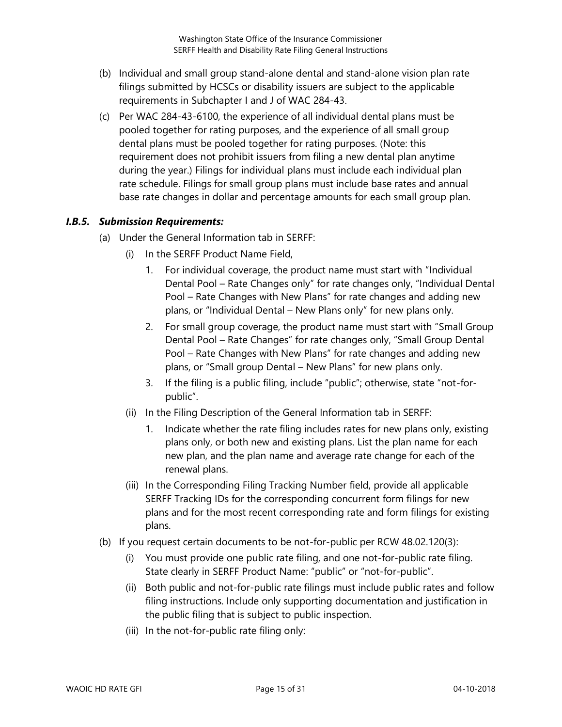- (b) Individual and small group stand-alone dental and stand-alone vision plan rate filings submitted by HCSCs or disability issuers are subject to the applicable requirements in Subchapter I and J of WAC 284-43.
- (c) Per WAC 284-43-6100, the experience of all individual dental plans must be pooled together for rating purposes, and the experience of all small group dental plans must be pooled together for rating purposes. (Note: this requirement does not prohibit issuers from filing a new dental plan anytime during the year.) Filings for individual plans must include each individual plan rate schedule. Filings for small group plans must include base rates and annual base rate changes in dollar and percentage amounts for each small group plan.

#### *I.B.5. Submission Requirements:*

- (a) Under the General Information tab in SERFF:
	- (i) In the SERFF Product Name Field,
		- 1. For individual coverage, the product name must start with "Individual Dental Pool – Rate Changes only" for rate changes only, "Individual Dental Pool – Rate Changes with New Plans" for rate changes and adding new plans, or "Individual Dental – New Plans only" for new plans only.
		- 2. For small group coverage, the product name must start with "Small Group Dental Pool – Rate Changes" for rate changes only, "Small Group Dental Pool – Rate Changes with New Plans" for rate changes and adding new plans, or "Small group Dental – New Plans" for new plans only.
		- 3. If the filing is a public filing, include "public"; otherwise, state "not-forpublic".
	- (ii) In the Filing Description of the General Information tab in SERFF:
		- 1. Indicate whether the rate filing includes rates for new plans only, existing plans only, or both new and existing plans. List the plan name for each new plan, and the plan name and average rate change for each of the renewal plans.
	- (iii) In the Corresponding Filing Tracking Number field, provide all applicable SERFF Tracking IDs for the corresponding concurrent form filings for new plans and for the most recent corresponding rate and form filings for existing plans.
- (b) If you request certain documents to be not-for-public per RCW 48.02.120(3):
	- (i) You must provide one public rate filing, and one not-for-public rate filing. State clearly in SERFF Product Name: "public" or "not-for-public".
	- (ii) Both public and not-for-public rate filings must include public rates and follow filing instructions. Include only supporting documentation and justification in the public filing that is subject to public inspection.
	- (iii) In the not-for-public rate filing only: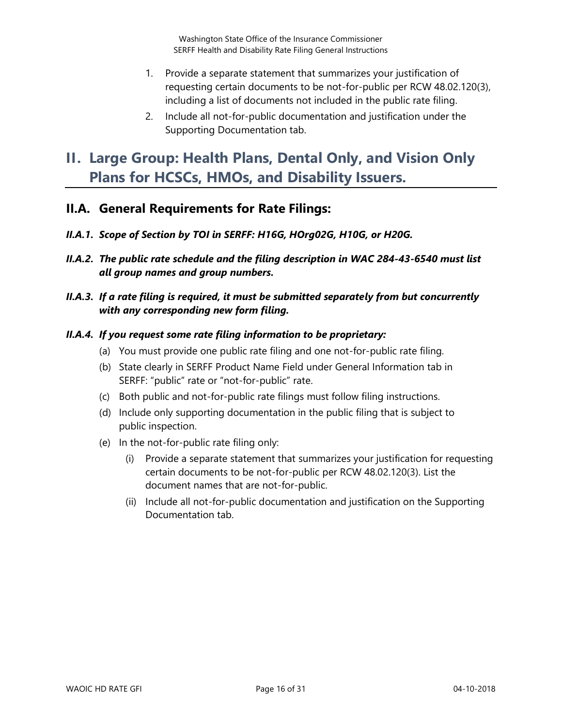- 1. Provide a separate statement that summarizes your justification of requesting certain documents to be not-for-public per RCW 48.02.120(3), including a list of documents not included in the public rate filing.
- 2. Include all not-for-public documentation and justification under the Supporting Documentation tab.

## <span id="page-15-0"></span>**II. Large Group: Health Plans, Dental Only, and Vision Only Plans for HCSCs, HMOs, and Disability Issuers.**

#### <span id="page-15-1"></span>**II.A. General Requirements for Rate Filings:**

- *II.A.1. Scope of Section by TOI in SERFF: H16G, HOrg02G, H10G, or H20G.*
- *II.A.2. The public rate schedule and the filing description in WAC 284-43-6540 must list all group names and group numbers.*

#### *II.A.3. If a rate filing is required, it must be submitted separately from but concurrently with any corresponding new form filing.*

#### *II.A.4. If you request some rate filing information to be proprietary:*

- (a) You must provide one public rate filing and one not-for-public rate filing.
- (b) State clearly in SERFF Product Name Field under General Information tab in SERFF: "public" rate or "not-for-public" rate.
- (c) Both public and not-for-public rate filings must follow filing instructions.
- (d) Include only supporting documentation in the public filing that is subject to public inspection.
- (e) In the not-for-public rate filing only:
	- (i) Provide a separate statement that summarizes your justification for requesting certain documents to be not-for-public per RCW 48.02.120(3). List the document names that are not-for-public.
	- (ii) Include all not-for-public documentation and justification on the Supporting Documentation tab.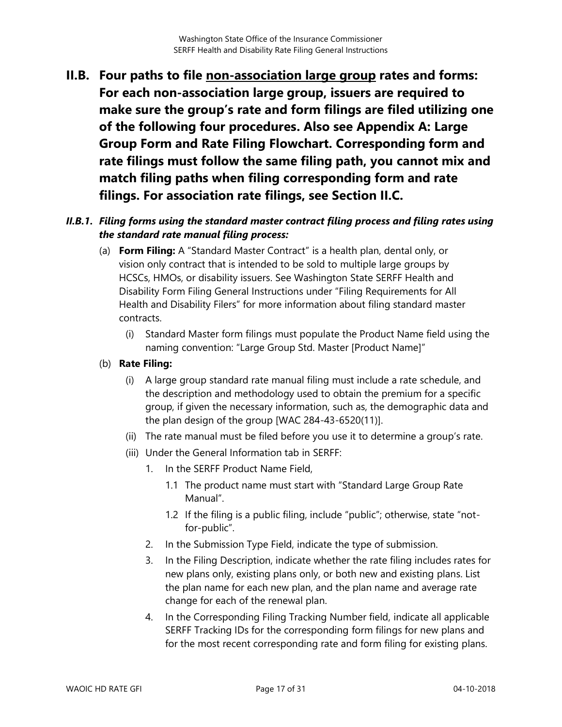<span id="page-16-0"></span>**II.B. Four paths to file non-association large group rates and forms: For each non-association large group, issuers are required to make sure the group's rate and form filings are filed utilizing one of the following four procedures. Also see Appendix A: Large Group Form and Rate Filing Flowchart. Corresponding form and rate filings must follow the same filing path, you cannot mix and match filing paths when filing corresponding form and rate filings. For association rate filings, see Section II.C.**

#### <span id="page-16-1"></span>*II.B.1. Filing forms using the standard master contract filing process and filing rates using the standard rate manual filing process:*

- (a) **Form Filing:** A "Standard Master Contract" is a health plan, dental only, or vision only contract that is intended to be sold to multiple large groups by HCSCs, HMOs, or disability issuers. See Washington State SERFF Health and Disability Form Filing General Instructions under "Filing Requirements for All Health and Disability Filers" for more information about filing standard master contracts.
	- (i) Standard Master form filings must populate the Product Name field using the naming convention: "Large Group Std. Master [Product Name]"
- (b) **Rate Filing:**
	- (i) A large group standard rate manual filing must include a rate schedule, and the description and methodology used to obtain the premium for a specific group, if given the necessary information, such as, the demographic data and the plan design of the group [WAC 284-43-6520(11)].
	- (ii) The rate manual must be filed before you use it to determine a group's rate.
	- (iii) Under the General Information tab in SERFF:
		- 1. In the SERFF Product Name Field,
			- 1.1 The product name must start with "Standard Large Group Rate Manual".
			- 1.2 If the filing is a public filing, include "public"; otherwise, state "notfor-public".
		- 2. In the Submission Type Field, indicate the type of submission.
		- 3. In the Filing Description, indicate whether the rate filing includes rates for new plans only, existing plans only, or both new and existing plans. List the plan name for each new plan, and the plan name and average rate change for each of the renewal plan.
		- 4. In the Corresponding Filing Tracking Number field, indicate all applicable SERFF Tracking IDs for the corresponding form filings for new plans and for the most recent corresponding rate and form filing for existing plans.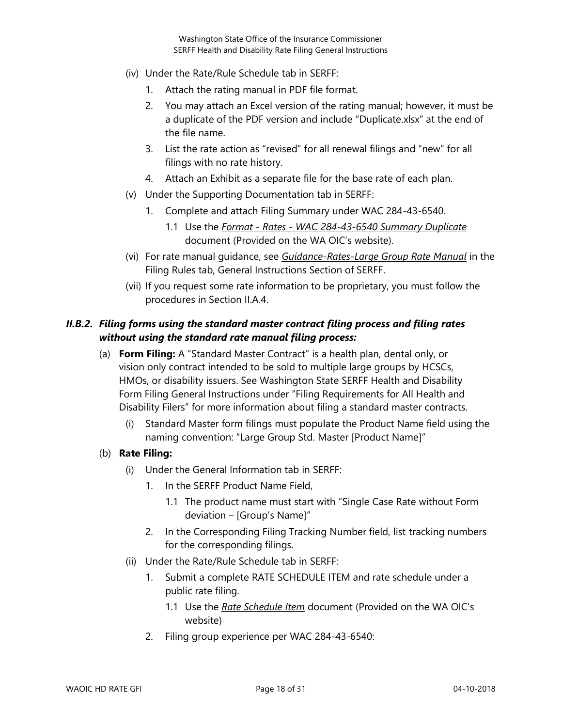- (iv) Under the Rate/Rule Schedule tab in SERFF:
	- 1. Attach the rating manual in PDF file format.
	- 2. You may attach an Excel version of the rating manual; however, it must be a duplicate of the PDF version and include "Duplicate.xlsx" at the end of the file name.
	- 3. List the rate action as "revised" for all renewal filings and "new" for all filings with no rate history.
	- 4. Attach an Exhibit as a separate file for the base rate of each plan.
- (v) Under the Supporting Documentation tab in SERFF:
	- 1. Complete and attach Filing Summary under WAC 284-43-6540.
		- 1.1 Use the *Format - Rates - WAC 284-43-6540 Summary Duplicate* document (Provided on the WA OIC's website).
- (vi) For rate manual guidance, see *Guidance-Rates-Large Group Rate Manual* in the Filing Rules tab, General Instructions Section of SERFF.
- (vii) If you request some rate information to be proprietary, you must follow the procedures in Section II.A.4.

#### <span id="page-17-0"></span>*II.B.2. Filing forms using the standard master contract filing process and filing rates without using the standard rate manual filing process:*

- (a) **Form Filing:** A "Standard Master Contract" is a health plan, dental only, or vision only contract intended to be sold to multiple large groups by HCSCs, HMOs, or disability issuers. See Washington State SERFF Health and Disability Form Filing General Instructions under "Filing Requirements for All Health and Disability Filers" for more information about filing a standard master contracts.
	- Standard Master form filings must populate the Product Name field using the naming convention: "Large Group Std. Master [Product Name]"
- (b) **Rate Filing:**
	- (i) Under the General Information tab in SERFF:
		- 1. In the SERFF Product Name Field,
			- 1.1 The product name must start with "Single Case Rate without Form deviation – [Group's Name]"
		- 2. In the Corresponding Filing Tracking Number field, list tracking numbers for the corresponding filings.
	- (ii) Under the Rate/Rule Schedule tab in SERFF:
		- 1. Submit a complete RATE SCHEDULE ITEM and rate schedule under a public rate filing.
			- 1.1 Use the *Rate Schedule Item* document (Provided on the WA OIC's website)
		- 2. Filing group experience per WAC 284-43-6540: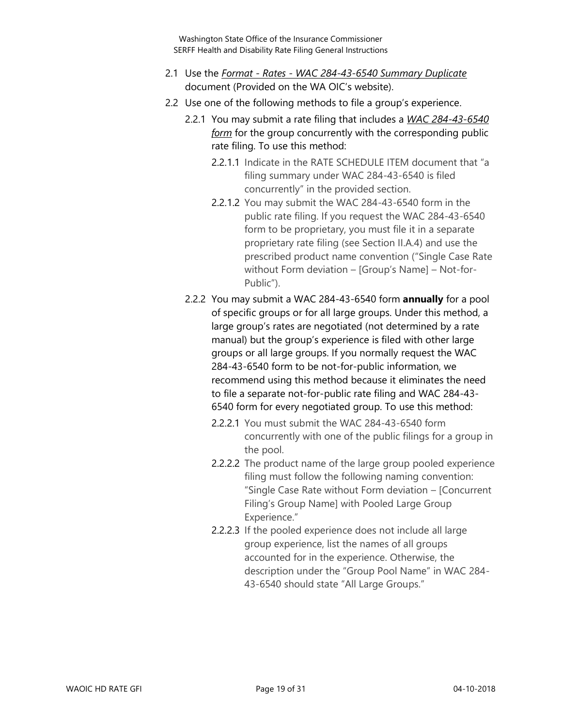- 2.1 Use the *Format - Rates - WAC 284-43-6540 Summary Duplicate* document (Provided on the WA OIC's website).
- 2.2 Use one of the following methods to file a group's experience.
	- 2.2.1 You may submit a rate filing that includes a *WAC 284-43-6540 form* for the group concurrently with the corresponding public rate filing. To use this method:
		- 2.2.1.1 Indicate in the RATE SCHEDULE ITEM document that "a filing summary under WAC 284-43-6540 is filed concurrently" in the provided section.
		- 2.2.1.2 You may submit the WAC 284-43-6540 form in the public rate filing. If you request the WAC 284-43-6540 form to be proprietary, you must file it in a separate proprietary rate filing (see Section II.A.4) and use the prescribed product name convention ("Single Case Rate without Form deviation – [Group's Name] – Not-for-Public").
	- 2.2.2 You may submit a WAC 284-43-6540 form **annually** for a pool of specific groups or for all large groups. Under this method, a large group's rates are negotiated (not determined by a rate manual) but the group's experience is filed with other large groups or all large groups. If you normally request the WAC 284-43-6540 form to be not-for-public information, we recommend using this method because it eliminates the need to file a separate not-for-public rate filing and WAC 284-43- 6540 form for every negotiated group. To use this method:
		- 2.2.2.1 You must submit the WAC 284-43-6540 form concurrently with one of the public filings for a group in the pool.
		- 2.2.2.2 The product name of the large group pooled experience filing must follow the following naming convention: "Single Case Rate without Form deviation – [Concurrent Filing's Group Name] with Pooled Large Group Experience."
		- 2.2.2.3 If the pooled experience does not include all large group experience, list the names of all groups accounted for in the experience. Otherwise, the description under the "Group Pool Name" in WAC 284- 43-6540 should state "All Large Groups."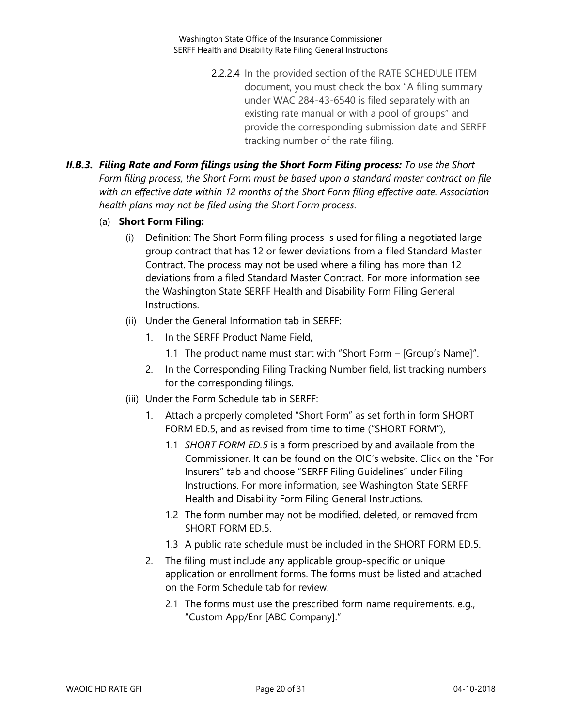- 2.2.2.4 In the provided section of the RATE SCHEDULE ITEM document, you must check the box "A filing summary under WAC 284-43-6540 is filed separately with an existing rate manual or with a pool of groups" and provide the corresponding submission date and SERFF tracking number of the rate filing.
- <span id="page-19-0"></span>*II.B.3. Filing Rate and Form filings using the Short Form Filing process: To use the Short Form filing process, the Short Form must be based upon a standard master contract on file with an effective date within 12 months of the Short Form filing effective date. Association health plans may not be filed using the Short Form process.*
	- (a) **Short Form Filing:** 
		- (i) Definition: The Short Form filing process is used for filing a negotiated large group contract that has 12 or fewer deviations from a filed Standard Master Contract. The process may not be used where a filing has more than 12 deviations from a filed Standard Master Contract. For more information see the Washington State SERFF Health and Disability Form Filing General Instructions.
		- (ii) Under the General Information tab in SERFF:
			- 1. In the SERFF Product Name Field,
				- 1.1 The product name must start with "Short Form [Group's Name]".
			- 2. In the Corresponding Filing Tracking Number field, list tracking numbers for the corresponding filings.
		- (iii) Under the Form Schedule tab in SERFF:
			- 1. Attach a properly completed "Short Form" as set forth in form SHORT FORM ED.5, and as revised from time to time ("SHORT FORM"),
				- 1.1 *SHORT FORM ED.5* is a form prescribed by and available from the Commissioner. It can be found on the OIC's website. Click on the "For Insurers" tab and choose "SERFF Filing Guidelines" under Filing Instructions. For more information, see Washington State SERFF Health and Disability Form Filing General Instructions.
				- 1.2 The form number may not be modified, deleted, or removed from SHORT FORM ED.5.
				- 1.3 A public rate schedule must be included in the SHORT FORM ED.5.
			- 2. The filing must include any applicable group-specific or unique application or enrollment forms. The forms must be listed and attached on the Form Schedule tab for review.
				- 2.1 The forms must use the prescribed form name requirements, e.g., "Custom App/Enr [ABC Company]."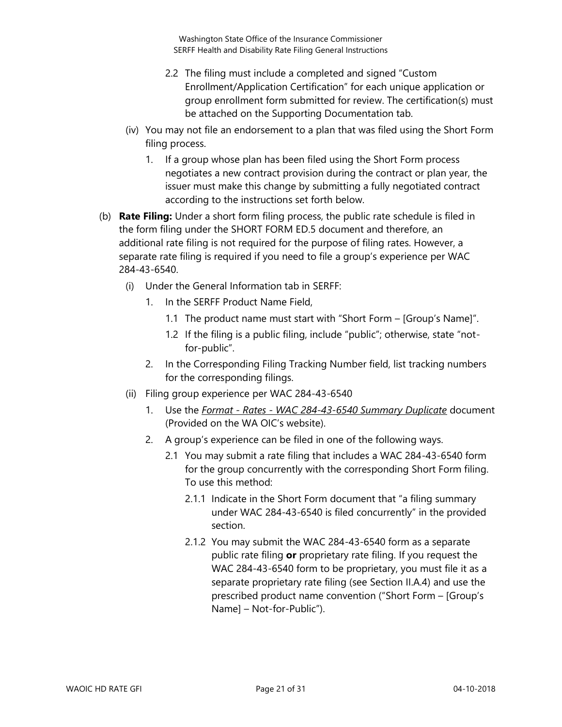- 2.2 The filing must include a completed and signed "Custom Enrollment/Application Certification" for each unique application or group enrollment form submitted for review. The certification(s) must be attached on the Supporting Documentation tab.
- (iv) You may not file an endorsement to a plan that was filed using the Short Form filing process.
	- 1. If a group whose plan has been filed using the Short Form process negotiates a new contract provision during the contract or plan year, the issuer must make this change by submitting a fully negotiated contract according to the instructions set forth below.
- (b) **Rate Filing:** Under a short form filing process, the public rate schedule is filed in the form filing under the SHORT FORM ED.5 document and therefore, an additional rate filing is not required for the purpose of filing rates. However, a separate rate filing is required if you need to file a group's experience per WAC 284-43-6540.
	- (i) Under the General Information tab in SERFF:
		- 1. In the SERFF Product Name Field,
			- 1.1 The product name must start with "Short Form [Group's Name]".
			- 1.2 If the filing is a public filing, include "public"; otherwise, state "notfor-public".
		- 2. In the Corresponding Filing Tracking Number field, list tracking numbers for the corresponding filings.
	- (ii) Filing group experience per WAC 284-43-6540
		- 1. Use the *Format - Rates - WAC 284-43-6540 Summary Duplicate* document (Provided on the WA OIC's website).
		- 2. A group's experience can be filed in one of the following ways.
			- 2.1 You may submit a rate filing that includes a WAC 284-43-6540 form for the group concurrently with the corresponding Short Form filing. To use this method:
				- 2.1.1 Indicate in the Short Form document that "a filing summary under WAC 284-43-6540 is filed concurrently" in the provided section.
				- 2.1.2 You may submit the WAC 284-43-6540 form as a separate public rate filing **or** proprietary rate filing. If you request the WAC 284-43-6540 form to be proprietary, you must file it as a separate proprietary rate filing (see Section II.A.4) and use the prescribed product name convention ("Short Form – [Group's Name] – Not-for-Public").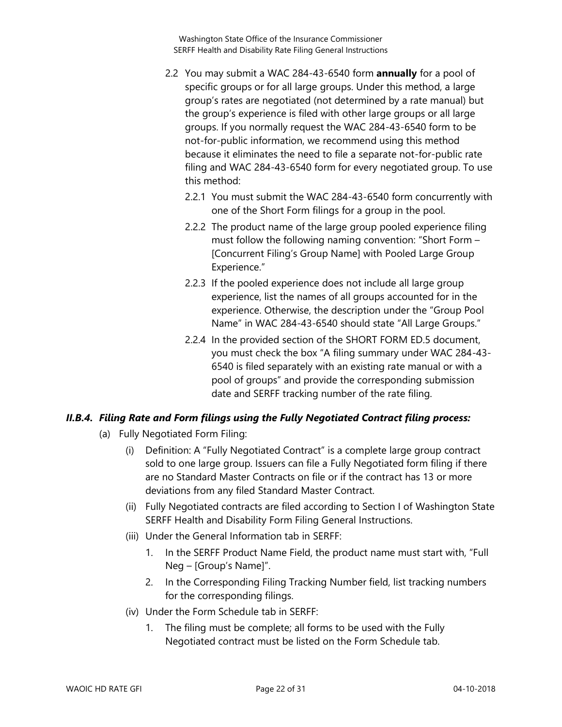- 2.2 You may submit a WAC 284-43-6540 form **annually** for a pool of specific groups or for all large groups. Under this method, a large group's rates are negotiated (not determined by a rate manual) but the group's experience is filed with other large groups or all large groups. If you normally request the WAC 284-43-6540 form to be not-for-public information, we recommend using this method because it eliminates the need to file a separate not-for-public rate filing and WAC 284-43-6540 form for every negotiated group. To use this method:
	- 2.2.1 You must submit the WAC 284-43-6540 form concurrently with one of the Short Form filings for a group in the pool.
	- 2.2.2 The product name of the large group pooled experience filing must follow the following naming convention: "Short Form – [Concurrent Filing's Group Name] with Pooled Large Group Experience."
	- 2.2.3 If the pooled experience does not include all large group experience, list the names of all groups accounted for in the experience. Otherwise, the description under the "Group Pool Name" in WAC 284-43-6540 should state "All Large Groups."
	- 2.2.4 In the provided section of the SHORT FORM ED.5 document, you must check the box "A filing summary under WAC 284-43- 6540 is filed separately with an existing rate manual or with a pool of groups" and provide the corresponding submission date and SERFF tracking number of the rate filing.

#### <span id="page-21-0"></span>*II.B.4. Filing Rate and Form filings using the Fully Negotiated Contract filing process:*

- (a) Fully Negotiated Form Filing:
	- (i) Definition: A "Fully Negotiated Contract" is a complete large group contract sold to one large group. Issuers can file a Fully Negotiated form filing if there are no Standard Master Contracts on file or if the contract has 13 or more deviations from any filed Standard Master Contract.
	- (ii) Fully Negotiated contracts are filed according to Section I of Washington State SERFF Health and Disability Form Filing General Instructions.
	- (iii) Under the General Information tab in SERFF:
		- 1. In the SERFF Product Name Field, the product name must start with, "Full Neg – [Group's Name]".
		- 2. In the Corresponding Filing Tracking Number field, list tracking numbers for the corresponding filings.
	- (iv) Under the Form Schedule tab in SERFF:
		- 1. The filing must be complete; all forms to be used with the Fully Negotiated contract must be listed on the Form Schedule tab.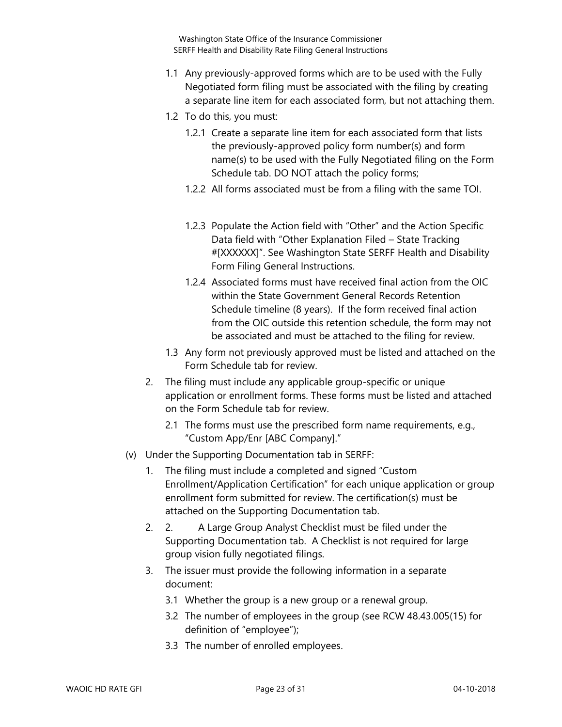- 1.1 Any previously-approved forms which are to be used with the Fully Negotiated form filing must be associated with the filing by creating a separate line item for each associated form, but not attaching them.
- 1.2 To do this, you must:
	- 1.2.1 Create a separate line item for each associated form that lists the previously-approved policy form number(s) and form name(s) to be used with the Fully Negotiated filing on the Form Schedule tab. DO NOT attach the policy forms;
	- 1.2.2 All forms associated must be from a filing with the same TOI.
	- 1.2.3 Populate the Action field with "Other" and the Action Specific Data field with "Other Explanation Filed – State Tracking #[XXXXXX]". See Washington State SERFF Health and Disability Form Filing General Instructions.
	- 1.2.4 Associated forms must have received final action from the OIC within the State Government General Records Retention Schedule timeline (8 years). If the form received final action from the OIC outside this retention schedule, the form may not be associated and must be attached to the filing for review.
- 1.3 Any form not previously approved must be listed and attached on the Form Schedule tab for review.
- 2. The filing must include any applicable group-specific or unique application or enrollment forms. These forms must be listed and attached on the Form Schedule tab for review.
	- 2.1 The forms must use the prescribed form name requirements, e.g., "Custom App/Enr [ABC Company]."
- (v) Under the Supporting Documentation tab in SERFF:
	- 1. The filing must include a completed and signed "Custom Enrollment/Application Certification" for each unique application or group enrollment form submitted for review. The certification(s) must be attached on the Supporting Documentation tab.
	- 2. 2. A Large Group Analyst Checklist must be filed under the Supporting Documentation tab. A Checklist is not required for large group vision fully negotiated filings.
	- 3. The issuer must provide the following information in a separate document:
		- 3.1 Whether the group is a new group or a renewal group.
		- 3.2 The number of employees in the group (see RCW 48.43.005(15) for definition of "employee");
		- 3.3 The number of enrolled employees.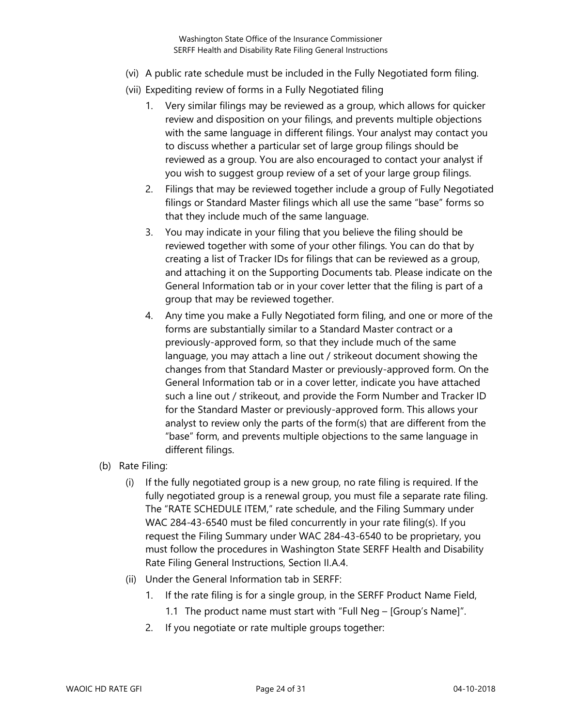- (vi) A public rate schedule must be included in the Fully Negotiated form filing.
- (vii) Expediting review of forms in a Fully Negotiated filing
	- 1. Very similar filings may be reviewed as a group, which allows for quicker review and disposition on your filings, and prevents multiple objections with the same language in different filings. Your analyst may contact you to discuss whether a particular set of large group filings should be reviewed as a group. You are also encouraged to contact your analyst if you wish to suggest group review of a set of your large group filings.
	- 2. Filings that may be reviewed together include a group of Fully Negotiated filings or Standard Master filings which all use the same "base" forms so that they include much of the same language.
	- 3. You may indicate in your filing that you believe the filing should be reviewed together with some of your other filings. You can do that by creating a list of Tracker IDs for filings that can be reviewed as a group, and attaching it on the Supporting Documents tab. Please indicate on the General Information tab or in your cover letter that the filing is part of a group that may be reviewed together.
	- 4. Any time you make a Fully Negotiated form filing, and one or more of the forms are substantially similar to a Standard Master contract or a previously-approved form, so that they include much of the same language, you may attach a line out / strikeout document showing the changes from that Standard Master or previously-approved form. On the General Information tab or in a cover letter, indicate you have attached such a line out / strikeout, and provide the Form Number and Tracker ID for the Standard Master or previously-approved form. This allows your analyst to review only the parts of the form(s) that are different from the "base" form, and prevents multiple objections to the same language in different filings.
- (b) Rate Filing:
	- (i) If the fully negotiated group is a new group, no rate filing is required. If the fully negotiated group is a renewal group, you must file a separate rate filing. The "RATE SCHEDULE ITEM," rate schedule, and the Filing Summary under WAC 284-43-6540 must be filed concurrently in your rate filing(s). If you request the Filing Summary under WAC 284-43-6540 to be proprietary, you must follow the procedures in Washington State SERFF Health and Disability Rate Filing General Instructions, Section II.A.4.
	- (ii) Under the General Information tab in SERFF:
		- 1. If the rate filing is for a single group, in the SERFF Product Name Field,
			- 1.1 The product name must start with "Full Neg [Group's Name]".
		- 2. If you negotiate or rate multiple groups together: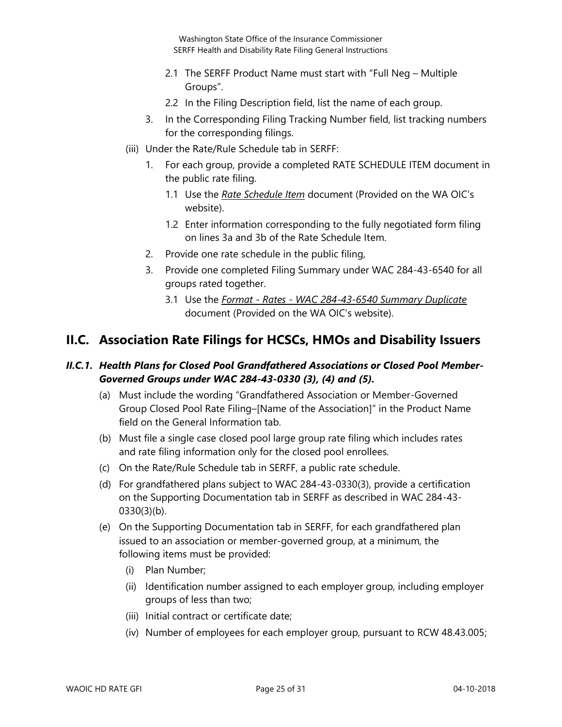- 2.1 The SERFF Product Name must start with "Full Neg Multiple Groups".
- 2.2 In the Filing Description field, list the name of each group.
- 3. In the Corresponding Filing Tracking Number field, list tracking numbers for the corresponding filings.
- (iii) Under the Rate/Rule Schedule tab in SERFF:
	- 1. For each group, provide a completed RATE SCHEDULE ITEM document in the public rate filing.
		- 1.1 Use the *Rate Schedule Item* document (Provided on the WA OIC's website).
		- 1.2 Enter information corresponding to the fully negotiated form filing on lines 3a and 3b of the Rate Schedule Item.
	- 2. Provide one rate schedule in the public filing,
	- 3. Provide one completed Filing Summary under WAC 284-43-6540 for all groups rated together.
		- 3.1 Use the *Format - Rates - WAC 284-43-6540 Summary Duplicate* document (Provided on the WA OIC's website).

### <span id="page-24-0"></span>**II.C. Association Rate Filings for HCSCs, HMOs and Disability Issuers**

#### <span id="page-24-1"></span>*II.C.1. Health Plans for Closed Pool Grandfathered Associations or Closed Pool Member-Governed Groups under WAC 284-43-0330 (3), (4) and (5).*

- (a) Must include the wording "Grandfathered Association or Member-Governed Group Closed Pool Rate Filing–[Name of the Association]" in the Product Name field on the General Information tab.
- (b) Must file a single case closed pool large group rate filing which includes rates and rate filing information only for the closed pool enrollees.
- (c) On the Rate/Rule Schedule tab in SERFF, a public rate schedule.
- (d) For grandfathered plans subject to WAC 284-43-0330(3), provide a certification on the Supporting Documentation tab in SERFF as described in WAC 284-43- 0330(3)(b).
- (e) On the Supporting Documentation tab in SERFF, for each grandfathered plan issued to an association or member-governed group, at a minimum, the following items must be provided:
	- (i) Plan Number;
	- (ii) Identification number assigned to each employer group, including employer groups of less than two;
	- (iii) Initial contract or certificate date;
	- (iv) Number of employees for each employer group, pursuant to RCW 48.43.005;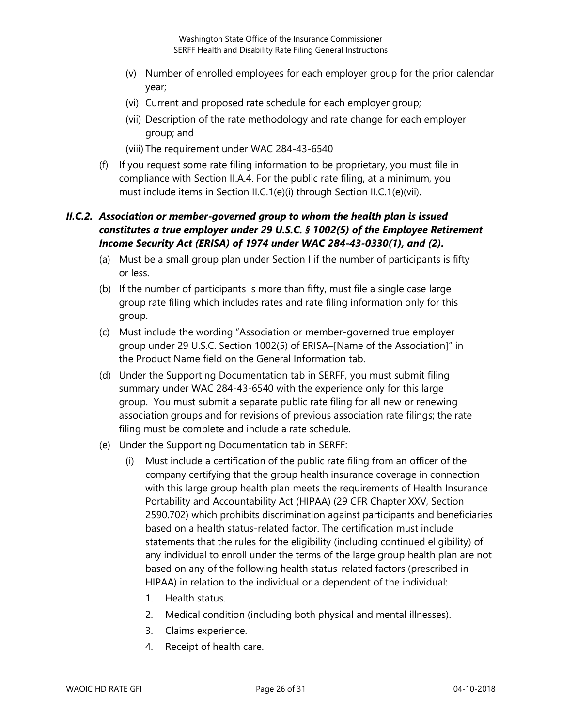- (v) Number of enrolled employees for each employer group for the prior calendar year;
- (vi) Current and proposed rate schedule for each employer group;
- (vii) Description of the rate methodology and rate change for each employer group; and

(viii) The requirement under WAC 284-43-6540

(f) If you request some rate filing information to be proprietary, you must file in compliance with Section II.A.4. For the public rate filing, at a minimum, you must include items in Section II.C.1(e)(i) through Section II.C.1(e)(vii).

#### <span id="page-25-0"></span>*II.C.2. Association or member-governed group to whom the health plan is issued constitutes a true employer under 29 U.S.C. § 1002(5) of the Employee Retirement Income Security Act (ERISA) of 1974 under WAC 284-43-0330(1), and (2).*

- (a) Must be a small group plan under Section I if the number of participants is fifty or less.
- (b) If the number of participants is more than fifty, must file a single case large group rate filing which includes rates and rate filing information only for this group.
- (c) Must include the wording "Association or member-governed true employer group under 29 U.S.C. Section 1002(5) of ERISA–[Name of the Association]" in the Product Name field on the General Information tab.
- (d) Under the Supporting Documentation tab in SERFF, you must submit filing summary under WAC 284-43-6540 with the experience only for this large group. You must submit a separate public rate filing for all new or renewing association groups and for revisions of previous association rate filings; the rate filing must be complete and include a rate schedule.
- (e) Under the Supporting Documentation tab in SERFF:
	- (i) Must include a certification of the public rate filing from an officer of the company certifying that the group health insurance coverage in connection with this large group health plan meets the requirements of Health Insurance Portability and Accountability Act (HIPAA) (29 CFR Chapter XXV, Section 2590.702) which prohibits discrimination against participants and beneficiaries based on a health status-related factor. The certification must include statements that the rules for the eligibility (including continued eligibility) of any individual to enroll under the terms of the large group health plan are not based on any of the following health status-related factors (prescribed in HIPAA) in relation to the individual or a dependent of the individual:
		- 1. Health status.
		- 2. Medical condition (including both physical and mental illnesses).
		- 3. Claims experience.
		- 4. Receipt of health care.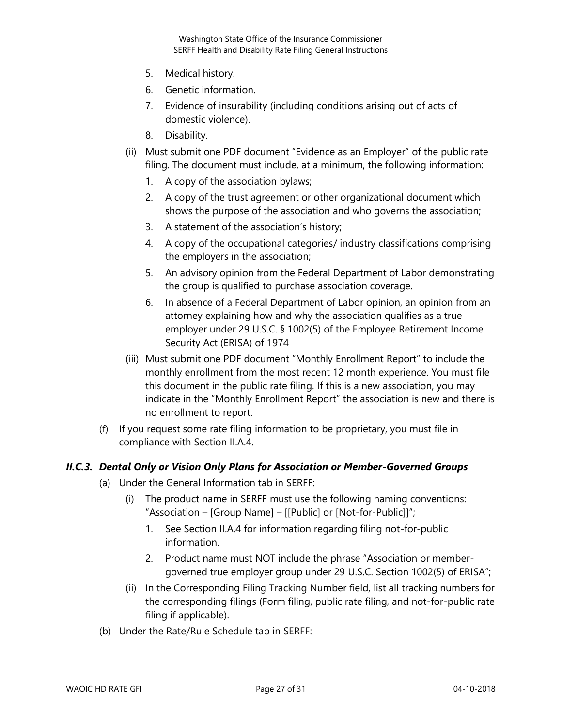- 5. Medical history.
- 6. Genetic information.
- 7. Evidence of insurability (including conditions arising out of acts of domestic violence).
- 8. Disability.
- (ii) Must submit one PDF document "Evidence as an Employer" of the public rate filing. The document must include, at a minimum, the following information:
	- 1. A copy of the association bylaws;
	- 2. A copy of the trust agreement or other organizational document which shows the purpose of the association and who governs the association;
	- 3. A statement of the association's history;
	- 4. A copy of the occupational categories/ industry classifications comprising the employers in the association;
	- 5. An advisory opinion from the Federal Department of Labor demonstrating the group is qualified to purchase association coverage.
	- 6. In absence of a Federal Department of Labor opinion, an opinion from an attorney explaining how and why the association qualifies as a true employer under 29 U.S.C. § 1002(5) of the Employee Retirement Income Security Act (ERISA) of 1974
- (iii) Must submit one PDF document "Monthly Enrollment Report" to include the monthly enrollment from the most recent 12 month experience. You must file this document in the public rate filing. If this is a new association, you may indicate in the "Monthly Enrollment Report" the association is new and there is no enrollment to report.
- (f) If you request some rate filing information to be proprietary, you must file in compliance with Section II.A.4.

#### <span id="page-26-0"></span>*II.C.3. Dental Only or Vision Only Plans for Association or Member-Governed Groups*

- (a) Under the General Information tab in SERFF:
	- (i) The product name in SERFF must use the following naming conventions: "Association – [Group Name] – [[Public] or [Not-for-Public]]";
		- 1. See Section II.A.4 for information regarding filing not-for-public information.
		- 2. Product name must NOT include the phrase "Association or membergoverned true employer group under 29 U.S.C. Section 1002(5) of ERISA";
	- (ii) In the Corresponding Filing Tracking Number field, list all tracking numbers for the corresponding filings (Form filing, public rate filing, and not-for-public rate filing if applicable).
- (b) Under the Rate/Rule Schedule tab in SERFF: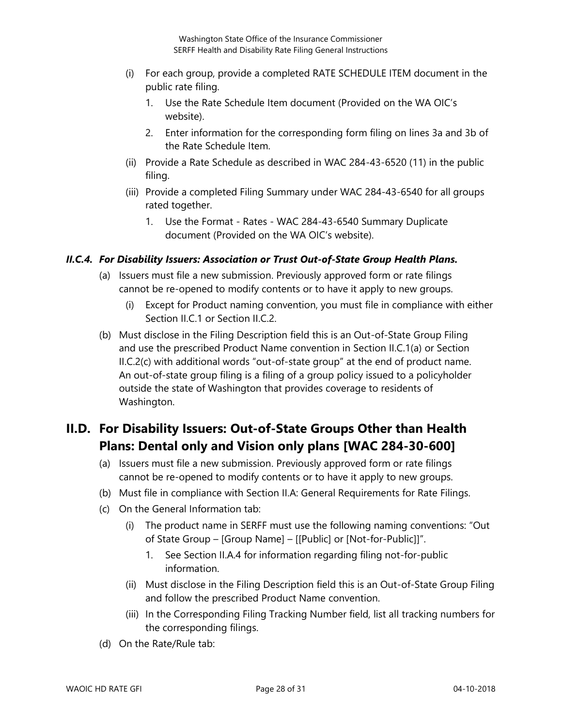- (i) For each group, provide a completed RATE SCHEDULE ITEM document in the public rate filing.
	- 1. Use the Rate Schedule Item document (Provided on the WA OIC's website).
	- 2. Enter information for the corresponding form filing on lines 3a and 3b of the Rate Schedule Item.
- (ii) Provide a Rate Schedule as described in WAC 284-43-6520 (11) in the public filing.
- (iii) Provide a completed Filing Summary under WAC 284-43-6540 for all groups rated together.
	- 1. Use the Format Rates WAC 284-43-6540 Summary Duplicate document (Provided on the WA OIC's website).

#### <span id="page-27-0"></span>*II.C.4. For Disability Issuers: Association or Trust Out-of-State Group Health Plans.*

- (a) Issuers must file a new submission. Previously approved form or rate filings cannot be re-opened to modify contents or to have it apply to new groups.
	- (i) Except for Product naming convention, you must file in compliance with either Section II.C.1 or Section II.C.2.
- (b) Must disclose in the Filing Description field this is an Out-of-State Group Filing and use the prescribed Product Name convention in Section II.C.1(a) or Section II.C.2(c) with additional words "out-of-state group" at the end of product name. An out-of-state group filing is a filing of a group policy issued to a policyholder outside the state of Washington that provides coverage to residents of Washington.

## <span id="page-27-1"></span>**II.D. For Disability Issuers: Out-of-State Groups Other than Health Plans: Dental only and Vision only plans [WAC 284-30-600]**

- (a) Issuers must file a new submission. Previously approved form or rate filings cannot be re-opened to modify contents or to have it apply to new groups.
- (b) Must file in compliance with Section II.A: General Requirements for Rate Filings.
- (c) On the General Information tab:
	- (i) The product name in SERFF must use the following naming conventions: "Out of State Group – [Group Name] – [[Public] or [Not-for-Public]]".
		- 1. See Section II.A.4 for information regarding filing not-for-public information.
	- (ii) Must disclose in the Filing Description field this is an Out-of-State Group Filing and follow the prescribed Product Name convention.
	- (iii) In the Corresponding Filing Tracking Number field, list all tracking numbers for the corresponding filings.
- (d) On the Rate/Rule tab: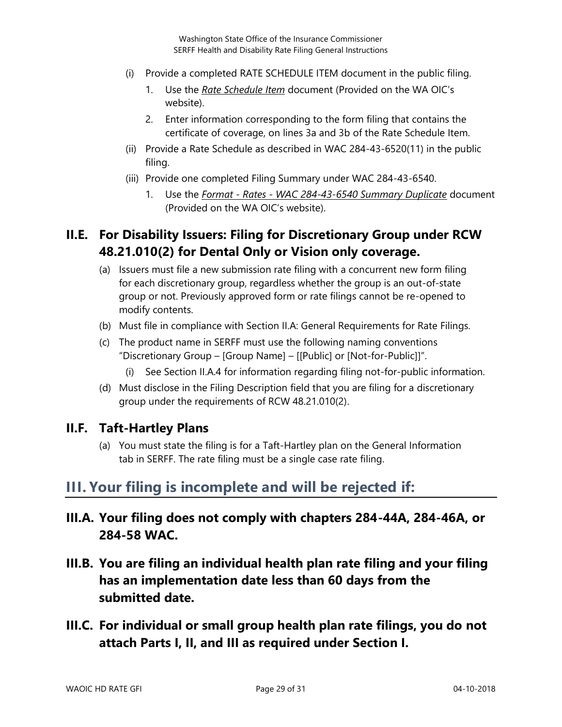- (i) Provide a completed RATE SCHEDULE ITEM document in the public filing.
	- 1. Use the *Rate Schedule Item* document (Provided on the WA OIC's website).
	- 2. Enter information corresponding to the form filing that contains the certificate of coverage, on lines 3a and 3b of the Rate Schedule Item.
- (ii) Provide a Rate Schedule as described in WAC 284-43-6520(11) in the public filing.
- (iii) Provide one completed Filing Summary under WAC 284-43-6540.
	- 1. Use the *Format - Rates - WAC 284-43-6540 Summary Duplicate* document (Provided on the WA OIC's website).

## <span id="page-28-0"></span>**II.E. For Disability Issuers: Filing for Discretionary Group under RCW 48.21.010(2) for Dental Only or Vision only coverage.**

- (a) Issuers must file a new submission rate filing with a concurrent new form filing for each discretionary group, regardless whether the group is an out-of-state group or not. Previously approved form or rate filings cannot be re-opened to modify contents.
- (b) Must file in compliance with Section II.A: General Requirements for Rate Filings.
- (c) The product name in SERFF must use the following naming conventions "Discretionary Group – [Group Name] – [[Public] or [Not-for-Public]]".
	- (i) See Section II.A.4 for information regarding filing not-for-public information.
- (d) Must disclose in the Filing Description field that you are filing for a discretionary group under the requirements of RCW 48.21.010(2).

#### <span id="page-28-1"></span>**II.F. Taft-Hartley Plans**

(a) You must state the filing is for a Taft-Hartley plan on the General Information tab in SERFF. The rate filing must be a single case rate filing.

## <span id="page-28-2"></span>**III. Your filing is incomplete and will be rejected if:**

- **III.A. Your filing does not comply with chapters 284-44A, 284-46A, or 284-58 WAC.**
- **III.B. You are filing an individual health plan rate filing and your filing has an implementation date less than 60 days from the submitted date.**
- **III.C. For individual or small group health plan rate filings, you do not attach Parts I, II, and III as required under Section I.**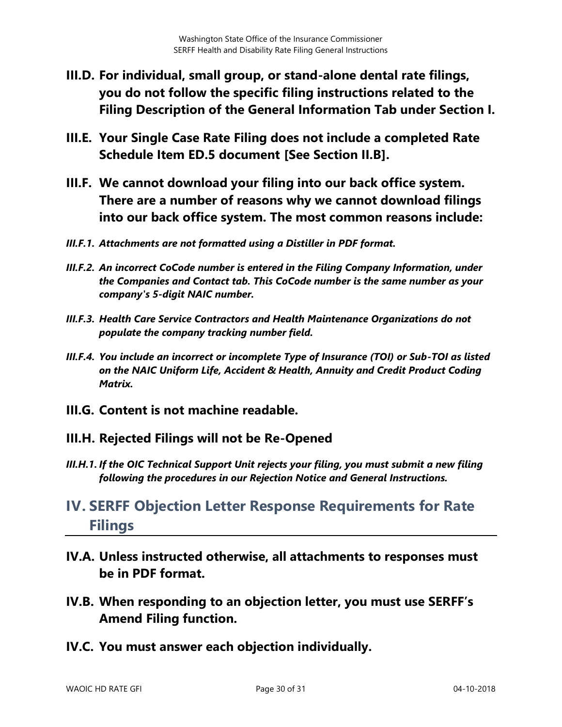- **III.D. For individual, small group, or stand-alone dental rate filings, you do not follow the specific filing instructions related to the Filing Description of the General Information Tab under Section I.**
- **III.E. Your Single Case Rate Filing does not include a completed Rate Schedule Item ED.5 document [See Section II.B].**
- **III.F. We cannot download your filing into our back office system. There are a number of reasons why we cannot download filings into our back office system. The most common reasons include:**
- *III.F.1. Attachments are not formatted using a Distiller in PDF format.*
- *III.F.2. An incorrect CoCode number is entered in the Filing Company Information, under the Companies and Contact tab. This CoCode number is the same number as your company's 5-digit NAIC number.*
- *III.F.3. Health Care Service Contractors and Health Maintenance Organizations do not populate the company tracking number field.*
- *III.F.4. You include an incorrect or incomplete Type of Insurance (TOI) or Sub-TOI as listed on the NAIC Uniform Life, Accident & Health, Annuity and Credit Product Coding Matrix.*
- **III.G. Content is not machine readable.**

#### **III.H. Rejected Filings will not be Re-Opened**

*III.H.1. If the OIC Technical Support Unit rejects your filing, you must submit a new filing following the procedures in our Rejection Notice and General Instructions.* 

## <span id="page-29-0"></span>**IV. SERFF Objection Letter Response Requirements for Rate Filings**

- **IV.A. Unless instructed otherwise, all attachments to responses must be in PDF format.**
- **IV.B. When responding to an objection letter, you must use SERFF's Amend Filing function.**
- **IV.C. You must answer each objection individually.**